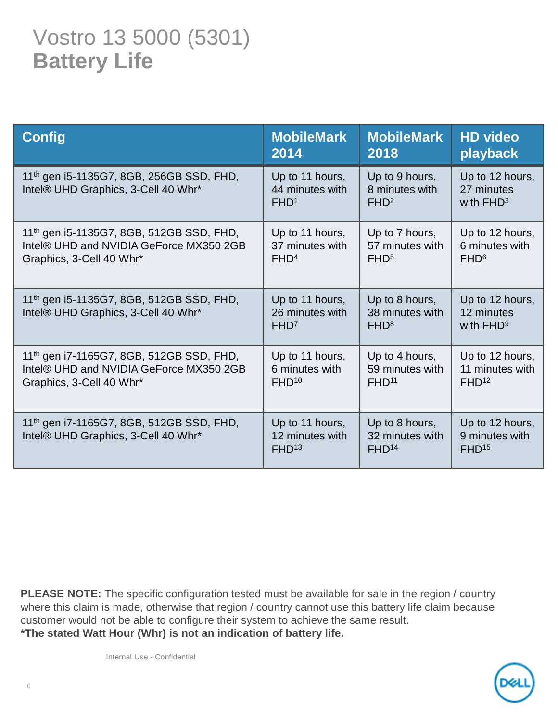## Vostro 13 5000 (5301) **Battery Life**

| <b>Config</b>                                                                               | <b>MobileMark</b>                                       | <b>MobileMark</b>                                      | <b>HD video</b>                                        |
|---------------------------------------------------------------------------------------------|---------------------------------------------------------|--------------------------------------------------------|--------------------------------------------------------|
|                                                                                             | 2014                                                    | 2018                                                   | playback                                               |
| 11 <sup>th</sup> gen i5-1135G7, 8GB, 256GB SSD, FHD,<br>Intel® UHD Graphics, 3-Cell 40 Whr* | Up to 11 hours,<br>44 minutes with<br>FHD <sup>1</sup>  | Up to 9 hours,<br>8 minutes with<br>FHD <sup>2</sup>   | Up to 12 hours,<br>27 minutes<br>with $FHD^3$          |
| 11 <sup>th</sup> gen i5-1135G7, 8GB, 512GB SSD, FHD,                                        | Up to 11 hours,                                         | Up to 7 hours,                                         | Up to 12 hours,                                        |
| Intel® UHD and NVIDIA GeForce MX350 2GB                                                     | 37 minutes with                                         | 57 minutes with                                        | 6 minutes with                                         |
| Graphics, 3-Cell 40 Whr*                                                                    | FHD <sup>4</sup>                                        | FHD <sup>5</sup>                                       | FHD <sup>6</sup>                                       |
| 11 <sup>th</sup> gen i5-1135G7, 8GB, 512GB SSD, FHD,<br>Intel® UHD Graphics, 3-Cell 40 Whr* | Up to 11 hours,<br>26 minutes with<br>FHD <sup>7</sup>  | Up to 8 hours,<br>38 minutes with<br>FHD <sup>8</sup>  | Up to 12 hours,<br>12 minutes<br>with FHD <sup>9</sup> |
| 11th gen i7-1165G7, 8GB, 512GB SSD, FHD,                                                    | Up to 11 hours,                                         | Up to 4 hours,                                         | Up to 12 hours,                                        |
| Intel® UHD and NVIDIA GeForce MX350 2GB                                                     | 6 minutes with                                          | 59 minutes with                                        | 11 minutes with                                        |
| Graphics, 3-Cell 40 Whr*                                                                    | FHD <sup>10</sup>                                       | FHD <sup>11</sup>                                      | FHD <sup>12</sup>                                      |
| 11th gen i7-1165G7, 8GB, 512GB SSD, FHD,<br>Intel® UHD Graphics, 3-Cell 40 Whr*             | Up to 11 hours,<br>12 minutes with<br>FHD <sup>13</sup> | Up to 8 hours,<br>32 minutes with<br>FHD <sup>14</sup> | Up to 12 hours,<br>9 minutes with<br>FHD <sup>15</sup> |

**PLEASE NOTE:** The specific configuration tested must be available for sale in the region / country where this claim is made, otherwise that region / country cannot use this battery life claim because customer would not be able to configure their system to achieve the same result. **\*The stated Watt Hour (Whr) is not an indication of battery life.**

Internal Use - Confidential

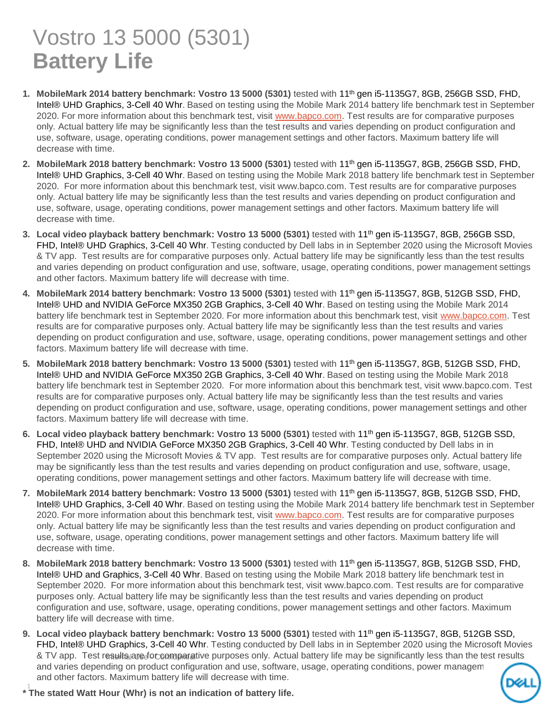## Vostro 13 5000 (5301) **Battery Life**

- **1. MobileMark 2014 battery benchmark: Vostro 13 5000 (5301)** tested with 11th gen i5-1135G7, 8GB, 256GB SSD, FHD, Intel® UHD Graphics, 3-Cell 40 Whr. Based on testing using the Mobile Mark 2014 battery life benchmark test in September 2020. For more information about this benchmark test, visit [www.bapco.com](http://www.bapco.com/). Test results are for comparative purposes only. Actual battery life may be significantly less than the test results and varies depending on product configuration and use, software, usage, operating conditions, power management settings and other factors. Maximum battery life will decrease with time.
- **2. MobileMark 2018 battery benchmark: Vostro 13 5000 (5301)** tested with 11th gen i5-1135G7, 8GB, 256GB SSD, FHD, Intel® UHD Graphics, 3-Cell 40 Whr. Based on testing using the Mobile Mark 2018 battery life benchmark test in September 2020. For more information about this benchmark test, visit www.bapco.com. Test results are for comparative purposes only. Actual battery life may be significantly less than the test results and varies depending on product configuration and use, software, usage, operating conditions, power management settings and other factors. Maximum battery life will decrease with time.
- **3. Local video playback battery benchmark: Vostro 13 5000 (5301)** tested with 11th gen i5-1135G7, 8GB, 256GB SSD, FHD, Intel® UHD Graphics, 3-Cell 40 Whr. Testing conducted by Dell labs in in September 2020 using the Microsoft Movies & TV app. Test results are for comparative purposes only. Actual battery life may be significantly less than the test results and varies depending on product configuration and use, software, usage, operating conditions, power management settings and other factors. Maximum battery life will decrease with time.
- **4. MobileMark 2014 battery benchmark: Vostro 13 5000 (5301)** tested with 11th gen i5-1135G7, 8GB, 512GB SSD, FHD, Intel® UHD and NVIDIA GeForce MX350 2GB Graphics, 3-Cell 40 Whr. Based on testing using the Mobile Mark 2014 battery life benchmark test in September 2020. For more information about this benchmark test, visit [www.bapco.com.](http://www.bapco.com/) Test results are for comparative purposes only. Actual battery life may be significantly less than the test results and varies depending on product configuration and use, software, usage, operating conditions, power management settings and other factors. Maximum battery life will decrease with time.
- **5. MobileMark 2018 battery benchmark: Vostro 13 5000 (5301)** tested with 11th gen i5-1135G7, 8GB, 512GB SSD, FHD, Intel® UHD and NVIDIA GeForce MX350 2GB Graphics, 3-Cell 40 Whr. Based on testing using the Mobile Mark 2018 battery life benchmark test in September 2020. For more information about this benchmark test, visit www.bapco.com. Test results are for comparative purposes only. Actual battery life may be significantly less than the test results and varies depending on product configuration and use, software, usage, operating conditions, power management settings and other factors. Maximum battery life will decrease with time.
- **6. Local video playback battery benchmark: Vostro 13 5000 (5301)** tested with 11th gen i5-1135G7, 8GB, 512GB SSD, FHD, Intel® UHD and NVIDIA GeForce MX350 2GB Graphics, 3-Cell 40 Whr. Testing conducted by Dell labs in in September 2020 using the Microsoft Movies & TV app. Test results are for comparative purposes only. Actual battery life may be significantly less than the test results and varies depending on product configuration and use, software, usage, operating conditions, power management settings and other factors. Maximum battery life will decrease with time.
- **7. MobileMark 2014 battery benchmark: Vostro 13 5000 (5301)** tested with 11th gen i5-1135G7, 8GB, 512GB SSD, FHD, Intel® UHD Graphics, 3-Cell 40 Whr. Based on testing using the Mobile Mark 2014 battery life benchmark test in September 2020. For more information about this benchmark test, visit [www.bapco.com](http://www.bapco.com/). Test results are for comparative purposes only. Actual battery life may be significantly less than the test results and varies depending on product configuration and use, software, usage, operating conditions, power management settings and other factors. Maximum battery life will decrease with time.
- **8. MobileMark 2018 battery benchmark: Vostro 13 5000 (5301)** tested with 11th gen i5-1135G7, 8GB, 512GB SSD, FHD, Intel® UHD and Graphics, 3-Cell 40 Whr. Based on testing using the Mobile Mark 2018 battery life benchmark test in September 2020. For more information about this benchmark test, visit www.bapco.com. Test results are for comparative purposes only. Actual battery life may be significantly less than the test results and varies depending on product configuration and use, software, usage, operating conditions, power management settings and other factors. Maximum battery life will decrease with time.
- & TV app. Test results are for comparative purposes only. Actual battery life may be significantly less than the test results **9. Local video playback battery benchmark: Vostro 13 5000 (5301)** tested with 11th gen i5-1135G7, 8GB, 512GB SSD, FHD, Intel® UHD Graphics, 3-Cell 40 Whr. Testing conducted by Dell labs in in September 2020 using the Microsoft Movies and varies depending on product configuration and use, software, usage, operating conditions, power management and other factors. Maximum battery life will decrease with time.

1 **\* The stated Watt Hour (Whr) is not an indication of battery life.**